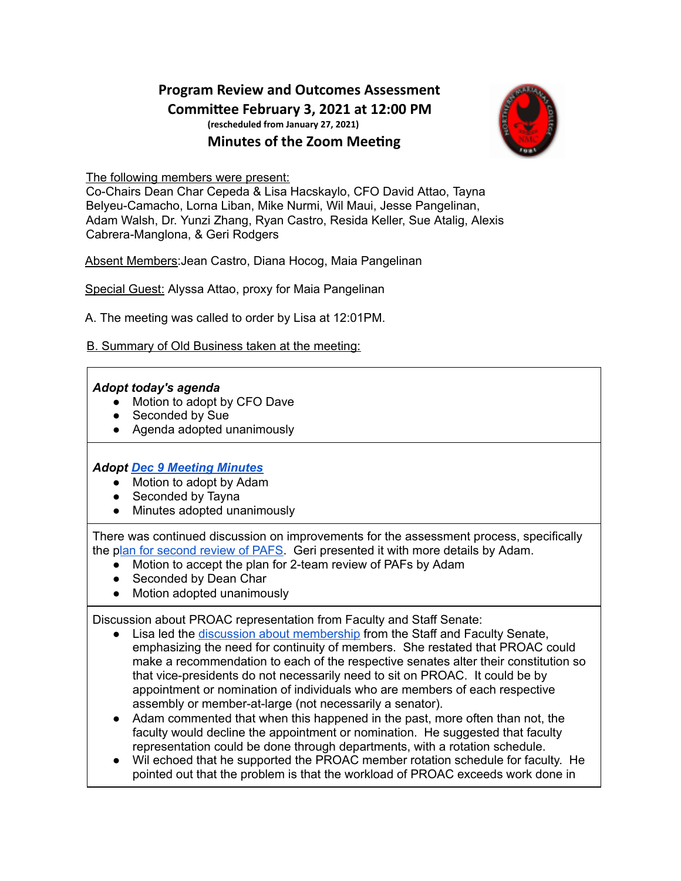# **Program Review and Outcomes Assessment Commiee February 3, 2021 at 12:00 PM (rescheduled from January 27, 2021) Minutes of the Zoom Meeting**



The following members were present:

Co-Chairs Dean Char Cepeda & Lisa Hacskaylo, CFO David Attao, Tayna Belyeu-Camacho, Lorna Liban, Mike Nurmi, Wil Maui, Jesse Pangelinan, Adam Walsh, Dr. Yunzi Zhang, Ryan Castro, Resida Keller, Sue Atalig, Alexis Cabrera-Manglona, & Geri Rodgers

Absent Members:Jean Castro, Diana Hocog, Maia Pangelinan

Special Guest: Alyssa Attao, proxy for Maia Pangelinan

A. The meeting was called to order by Lisa at 12:01PM.

B. Summary of Old Business taken at the meeting:

#### *Adopt today's agenda*

- Motion to adopt by CFO Dave
- Seconded by Sue
- Agenda adopted unanimously

### *Adopt Dec 9 [Meeting](https://docs.google.com/document/d/1y3SBBdGZjcqMSA3VSvgICKMGEx99CYtw2YuJPrUbSjw/edit) Minutes*

- Motion to adopt by Adam
- Seconded by Tayna
- Minutes adopted unanimously

There was continued discussion on improvements for the assessment process, specifically the plan for [second](https://docs.google.com/document/d/1e7wNClu7UBq4anIzBgedxBRlHI7OmrMdM7ts4LsY7AA/edit) review of PAFS. Geri presented it with more details by Adam.

- Motion to accept the plan for 2-team review of PAFs by Adam
- Seconded by Dean Char
- Motion adopted unanimously

Discussion about PROAC representation from Faculty and Staff Senate:

- Lisa led the discussion about [membership](https://docs.google.com/document/d/1xePaC9VUW6SIj9sZpZmYY1dkqiXbLfyLRiARMuk-d0o/edit) from the Staff and Faculty Senate, emphasizing the need for continuity of members. She restated that PROAC could make a recommendation to each of the respective senates alter their constitution so that vice-presidents do not necessarily need to sit on PROAC. It could be by appointment or nomination of individuals who are members of each respective assembly or member-at-large (not necessarily a senator).
- Adam commented that when this happened in the past, more often than not, the faculty would decline the appointment or nomination. He suggested that faculty representation could be done through departments, with a rotation schedule.
- Wil echoed that he supported the PROAC member rotation schedule for faculty. He pointed out that the problem is that the workload of PROAC exceeds work done in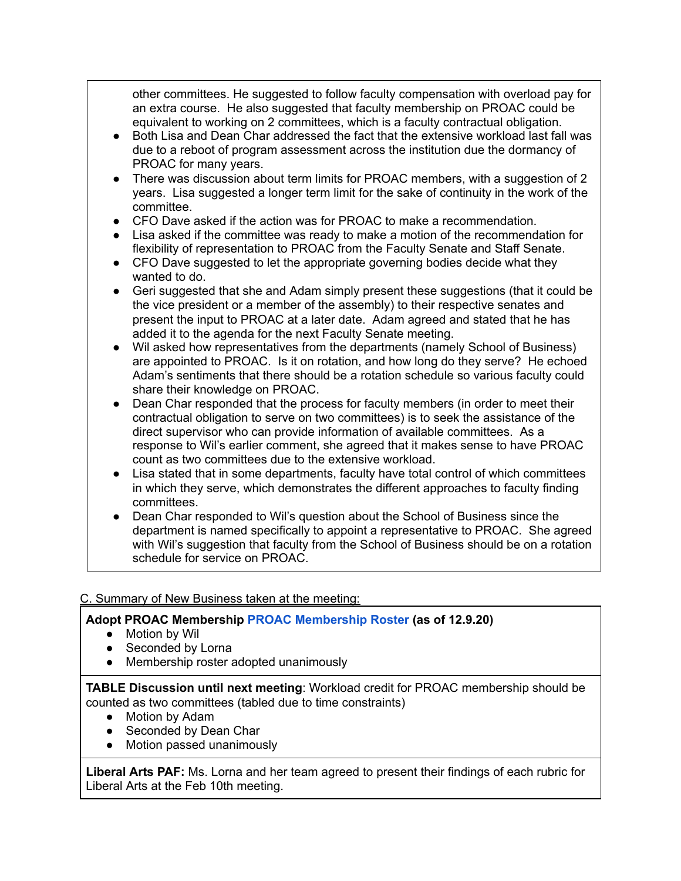other committees. He suggested to follow faculty compensation with overload pay for an extra course. He also suggested that faculty membership on PROAC could be equivalent to working on 2 committees, which is a faculty contractual obligation.

- Both Lisa and Dean Char addressed the fact that the extensive workload last fall was due to a reboot of program assessment across the institution due the dormancy of PROAC for many years.
- There was discussion about term limits for PROAC members, with a suggestion of 2 years. Lisa suggested a longer term limit for the sake of continuity in the work of the committee.
- $\bullet$  CFO Dave asked if the action was for PROAC to make a recommendation.
- Lisa asked if the committee was ready to make a motion of the recommendation for flexibility of representation to PROAC from the Faculty Senate and Staff Senate.
- CFO Dave suggested to let the appropriate governing bodies decide what they wanted to do.
- Geri suggested that she and Adam simply present these suggestions (that it could be the vice president or a member of the assembly) to their respective senates and present the input to PROAC at a later date. Adam agreed and stated that he has added it to the agenda for the next Faculty Senate meeting.
- Wil asked how representatives from the departments (namely School of Business) are appointed to PROAC. Is it on rotation, and how long do they serve? He echoed Adam's sentiments that there should be a rotation schedule so various faculty could share their knowledge on PROAC.
- Dean Char responded that the process for faculty members (in order to meet their contractual obligation to serve on two committees) is to seek the assistance of the direct supervisor who can provide information of available committees. As a response to Wil's earlier comment, she agreed that it makes sense to have PROAC count as two committees due to the extensive workload.
- Lisa stated that in some departments, faculty have total control of which committees in which they serve, which demonstrates the different approaches to faculty finding committees.
- Dean Char responded to Wil's question about the School of Business since the department is named specifically to appoint a representative to PROAC. She agreed with Wil's suggestion that faculty from the School of Business should be on a rotation schedule for service on PROAC.

### C. Summary of New Business taken at the meeting:

## **Adopt PROAC Membership PROAC [Membership](https://docs.google.com/document/d/1GO4KMNC5hPEXNkCP9--lVc_byXg2NYz1/edit) Roster (as of 12.9.20)**

- Motion by Wil
- Seconded by Lorna
- Membership roster adopted unanimously

**TABLE Discussion until next meeting**: Workload credit for PROAC membership should be counted as two committees (tabled due to time constraints)

- Motion by Adam
- Seconded by Dean Char
- Motion passed unanimously

**Liberal Arts PAF:** Ms. Lorna and her team agreed to present their findings of each rubric for Liberal Arts at the Feb 10th meeting.